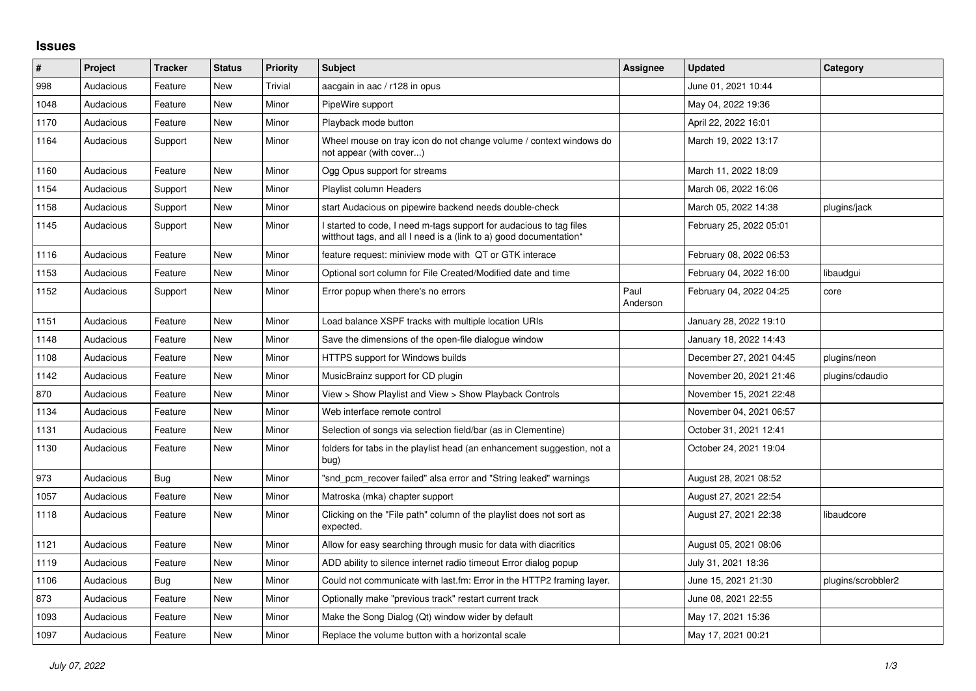## **Issues**

| $\sharp$ | Project   | Tracker | <b>Status</b> | <b>Priority</b> | <b>Subject</b>                                                                                                                            | <b>Assignee</b>  | <b>Updated</b>          | Category           |
|----------|-----------|---------|---------------|-----------------|-------------------------------------------------------------------------------------------------------------------------------------------|------------------|-------------------------|--------------------|
| 998      | Audacious | Feature | <b>New</b>    | Trivial         | aacgain in aac / r128 in opus                                                                                                             |                  | June 01, 2021 10:44     |                    |
| 1048     | Audacious | Feature | <b>New</b>    | Minor           | PipeWire support                                                                                                                          |                  | May 04, 2022 19:36      |                    |
| 1170     | Audacious | Feature | New           | Minor           | Playback mode button                                                                                                                      |                  | April 22, 2022 16:01    |                    |
| 1164     | Audacious | Support | New           | Minor           | Wheel mouse on tray icon do not change volume / context windows do<br>not appear (with cover)                                             |                  | March 19, 2022 13:17    |                    |
| 1160     | Audacious | Feature | <b>New</b>    | Minor           | Ogg Opus support for streams                                                                                                              |                  | March 11, 2022 18:09    |                    |
| 1154     | Audacious | Support | New           | Minor           | Playlist column Headers                                                                                                                   |                  | March 06, 2022 16:06    |                    |
| 1158     | Audacious | Support | New           | Minor           | start Audacious on pipewire backend needs double-check                                                                                    |                  | March 05, 2022 14:38    | plugins/jack       |
| 1145     | Audacious | Support | New           | Minor           | I started to code, I need m-tags support for audacious to tag files<br>witthout tags, and all I need is a (link to a) good documentation* |                  | February 25, 2022 05:01 |                    |
| 1116     | Audacious | Feature | <b>New</b>    | Minor           | feature request: miniview mode with QT or GTK interace                                                                                    |                  | February 08, 2022 06:53 |                    |
| 1153     | Audacious | Feature | <b>New</b>    | Minor           | Optional sort column for File Created/Modified date and time                                                                              |                  | February 04, 2022 16:00 | libaudgui          |
| 1152     | Audacious | Support | <b>New</b>    | Minor           | Error popup when there's no errors                                                                                                        | Paul<br>Anderson | February 04, 2022 04:25 | core               |
| 1151     | Audacious | Feature | <b>New</b>    | Minor           | Load balance XSPF tracks with multiple location URIs                                                                                      |                  | January 28, 2022 19:10  |                    |
| 1148     | Audacious | Feature | New           | Minor           | Save the dimensions of the open-file dialogue window                                                                                      |                  | January 18, 2022 14:43  |                    |
| 1108     | Audacious | Feature | New           | Minor           | HTTPS support for Windows builds                                                                                                          |                  | December 27, 2021 04:45 | plugins/neon       |
| 1142     | Audacious | Feature | New           | Minor           | MusicBrainz support for CD plugin                                                                                                         |                  | November 20, 2021 21:46 | plugins/cdaudio    |
| 870      | Audacious | Feature | New           | Minor           | View > Show Playlist and View > Show Playback Controls                                                                                    |                  | November 15, 2021 22:48 |                    |
| 1134     | Audacious | Feature | New           | Minor           | Web interface remote control                                                                                                              |                  | November 04, 2021 06:57 |                    |
| 1131     | Audacious | Feature | New           | Minor           | Selection of songs via selection field/bar (as in Clementine)                                                                             |                  | October 31, 2021 12:41  |                    |
| 1130     | Audacious | Feature | New           | Minor           | folders for tabs in the playlist head (an enhancement suggestion, not a<br>bug)                                                           |                  | October 24, 2021 19:04  |                    |
| 973      | Audacious | Bug     | <b>New</b>    | Minor           | "snd pcm recover failed" alsa error and "String leaked" warnings                                                                          |                  | August 28, 2021 08:52   |                    |
| 1057     | Audacious | Feature | New           | Minor           | Matroska (mka) chapter support                                                                                                            |                  | August 27, 2021 22:54   |                    |
| 1118     | Audacious | Feature | New           | Minor           | Clicking on the "File path" column of the playlist does not sort as<br>expected.                                                          |                  | August 27, 2021 22:38   | libaudcore         |
| 1121     | Audacious | Feature | New           | Minor           | Allow for easy searching through music for data with diacritics                                                                           |                  | August 05, 2021 08:06   |                    |
| 1119     | Audacious | Feature | New           | Minor           | ADD ability to silence internet radio timeout Error dialog popup                                                                          |                  | July 31, 2021 18:36     |                    |
| 1106     | Audacious | Bug     | New           | Minor           | Could not communicate with last.fm: Error in the HTTP2 framing layer.                                                                     |                  | June 15, 2021 21:30     | plugins/scrobbler2 |
| 873      | Audacious | Feature | New           | Minor           | Optionally make "previous track" restart current track                                                                                    |                  | June 08, 2021 22:55     |                    |
| 1093     | Audacious | Feature | New           | Minor           | Make the Song Dialog (Qt) window wider by default                                                                                         |                  | May 17, 2021 15:36      |                    |
| 1097     | Audacious | Feature | New           | Minor           | Replace the volume button with a horizontal scale                                                                                         |                  | May 17, 2021 00:21      |                    |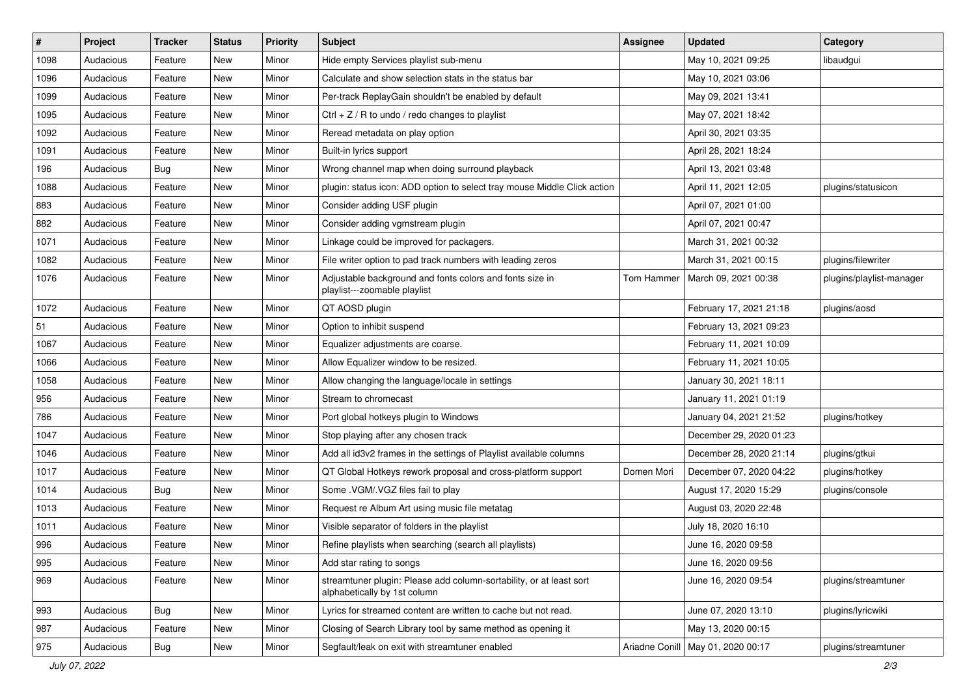| $\vert$ # | Project   | <b>Tracker</b> | <b>Status</b> | <b>Priority</b> | <b>Subject</b>                                                                                      | <b>Assignee</b> | <b>Updated</b>                      | Category                 |
|-----------|-----------|----------------|---------------|-----------------|-----------------------------------------------------------------------------------------------------|-----------------|-------------------------------------|--------------------------|
| 1098      | Audacious | Feature        | New           | Minor           | Hide empty Services playlist sub-menu                                                               |                 | May 10, 2021 09:25                  | libaudgui                |
| 1096      | Audacious | Feature        | <b>New</b>    | Minor           | Calculate and show selection stats in the status bar                                                |                 | May 10, 2021 03:06                  |                          |
| 1099      | Audacious | Feature        | New           | Minor           | Per-track ReplayGain shouldn't be enabled by default                                                |                 | May 09, 2021 13:41                  |                          |
| 1095      | Audacious | Feature        | New           | Minor           | Ctrl + $Z$ / R to undo / redo changes to playlist                                                   |                 | May 07, 2021 18:42                  |                          |
| 1092      | Audacious | Feature        | <b>New</b>    | Minor           | Reread metadata on play option                                                                      |                 | April 30, 2021 03:35                |                          |
| 1091      | Audacious | Feature        | New           | Minor           | Built-in lyrics support                                                                             |                 | April 28, 2021 18:24                |                          |
| 196       | Audacious | <b>Bug</b>     | <b>New</b>    | Minor           | Wrong channel map when doing surround playback                                                      |                 | April 13, 2021 03:48                |                          |
| 1088      | Audacious | Feature        | New           | Minor           | plugin: status icon: ADD option to select tray mouse Middle Click action                            |                 | April 11, 2021 12:05                | plugins/statusicon       |
| 883       | Audacious | Feature        | New           | Minor           | Consider adding USF plugin                                                                          |                 | April 07, 2021 01:00                |                          |
| 882       | Audacious | Feature        | New           | Minor           | Consider adding vgmstream plugin                                                                    |                 | April 07, 2021 00:47                |                          |
| 1071      | Audacious | Feature        | New           | Minor           | Linkage could be improved for packagers.                                                            |                 | March 31, 2021 00:32                |                          |
| 1082      | Audacious | Feature        | New           | Minor           | File writer option to pad track numbers with leading zeros                                          |                 | March 31, 2021 00:15                | plugins/filewriter       |
| 1076      | Audacious | Feature        | New           | Minor           | Adjustable background and fonts colors and fonts size in<br>playlist---zoomable playlist            | Tom Hammer      | March 09, 2021 00:38                | plugins/playlist-manager |
| 1072      | Audacious | Feature        | New           | Minor           | QT AOSD plugin                                                                                      |                 | February 17, 2021 21:18             | plugins/aosd             |
| 51        | Audacious | Feature        | New           | Minor           | Option to inhibit suspend                                                                           |                 | February 13, 2021 09:23             |                          |
| 1067      | Audacious | Feature        | New           | Minor           | Equalizer adjustments are coarse.                                                                   |                 | February 11, 2021 10:09             |                          |
| 1066      | Audacious | Feature        | New           | Minor           | Allow Equalizer window to be resized.                                                               |                 | February 11, 2021 10:05             |                          |
| 1058      | Audacious | Feature        | New           | Minor           | Allow changing the language/locale in settings                                                      |                 | January 30, 2021 18:11              |                          |
| 956       | Audacious | Feature        | New           | Minor           | Stream to chromecast                                                                                |                 | January 11, 2021 01:19              |                          |
| 786       | Audacious | Feature        | New           | Minor           | Port global hotkeys plugin to Windows                                                               |                 | January 04, 2021 21:52              | plugins/hotkey           |
| 1047      | Audacious | Feature        | New           | Minor           | Stop playing after any chosen track                                                                 |                 | December 29, 2020 01:23             |                          |
| 1046      | Audacious | Feature        | <b>New</b>    | Minor           | Add all id3v2 frames in the settings of Playlist available columns                                  |                 | December 28, 2020 21:14             | plugins/gtkui            |
| 1017      | Audacious | Feature        | New           | Minor           | QT Global Hotkeys rework proposal and cross-platform support                                        | Domen Mori      | December 07, 2020 04:22             | plugins/hotkey           |
| 1014      | Audacious | <b>Bug</b>     | <b>New</b>    | Minor           | Some .VGM/.VGZ files fail to play                                                                   |                 | August 17, 2020 15:29               | plugins/console          |
| 1013      | Audacious | Feature        | New           | Minor           | Request re Album Art using music file metatag                                                       |                 | August 03, 2020 22:48               |                          |
| 1011      | Audacious | Feature        | New           | Minor           | Visible separator of folders in the playlist                                                        |                 | July 18, 2020 16:10                 |                          |
| 996       | Audacious | Feature        | <b>New</b>    | Minor           | Refine playlists when searching (search all playlists)                                              |                 | June 16, 2020 09:58                 |                          |
| 995       | Audacious | Feature        | New           | Minor           | Add star rating to songs                                                                            |                 | June 16, 2020 09:56                 |                          |
| 969       | Audacious | Feature        | New           | Minor           | streamtuner plugin: Please add column-sortability, or at least sort<br>alphabetically by 1st column |                 | June 16, 2020 09:54                 | plugins/streamtuner      |
| 993       | Audacious | Bug            | New           | Minor           | Lyrics for streamed content are written to cache but not read.                                      |                 | June 07, 2020 13:10                 | plugins/lyricwiki        |
| 987       | Audacious | Feature        | New           | Minor           | Closing of Search Library tool by same method as opening it                                         |                 | May 13, 2020 00:15                  |                          |
| 975       | Audacious | <b>Bug</b>     | New           | Minor           | Segfault/leak on exit with streamtuner enabled                                                      |                 | Ariadne Conill   May 01, 2020 00:17 | plugins/streamtuner      |